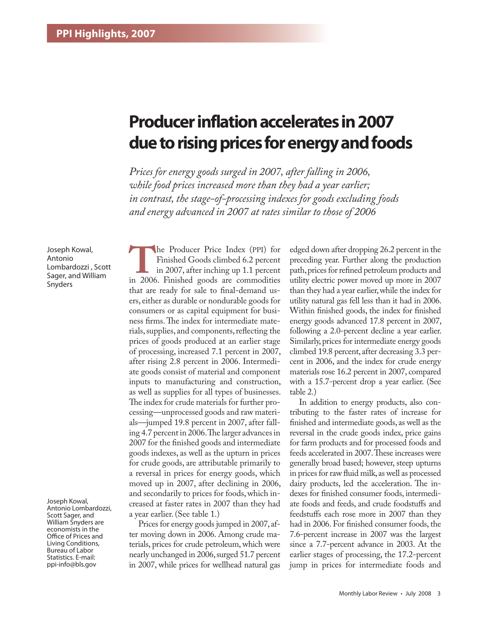# **Producer inflation accelerates in 2007 due to rising prices for energy and foods**

*Prices for energy goods surged in 2007, after falling in 2006, while food prices increased more than they had a year earlier; in contrast, the stage-of-processing indexes for goods excluding foods and energy advanced in 2007 at rates similar to those of 2006*

Joseph Kowal, Antonio Lombardozzi , Scott Sager, and William Snyders

Joseph Kowal, Antonio Lombardozzi, Scott Sager, and William Snyders are economists in the Office of Prices and Living Conditions, Bureau of Labor Statistics. E-mail: ppi-info@bls.gov

**The Producer Price Index (PPI) for**<br>
in 2007, after inching up 1.1 percent<br>
in 2006. Finished goods are commodities Finished Goods climbed 6.2 percent in 2007, after inching up 1.1 percent that are ready for sale to final-demand users, either as durable or nondurable goods for consumers or as capital equipment for business firms. The index for intermediate materials, supplies, and components, reflecting the prices of goods produced at an earlier stage of processing, increased 7.1 percent in 2007, after rising 2.8 percent in 2006. Intermediate goods consist of material and component inputs to manufacturing and construction, as well as supplies for all types of businesses. The index for crude materials for further processing—unprocessed goods and raw materials—jumped 19.8 percent in 2007, after falling 4.7 percent in 2006. The larger advances in 2007 for the finished goods and intermediate goods indexes, as well as the upturn in prices for crude goods, are attributable primarily to a reversal in prices for energy goods, which moved up in 2007, after declining in 2006, and secondarily to prices for foods, which increased at faster rates in 2007 than they had a year earlier. (See table 1.)

Prices for energy goods jumped in 2007, after moving down in 2006. Among crude materials, prices for crude petroleum, which were nearly unchanged in 2006, surged 51.7 percent in 2007, while prices for wellhead natural gas

edged down after dropping 26.2 percent in the preceding year. Further along the production path, prices for refined petroleum products and utility electric power moved up more in 2007 than they had a year earlier, while the index for utility natural gas fell less than it had in 2006. Within finished goods, the index for finished energy goods advanced 17.8 percent in 2007, following a 2.0-percent decline a year earlier. Similarly, prices for intermediate energy goods climbed 19.8 percent, after decreasing 3.3 percent in 2006, and the index for crude energy materials rose 16.2 percent in 2007, compared with a 15.7-percent drop a year earlier. (See table 2.)

In addition to energy products, also contributing to the faster rates of increase for finished and intermediate goods, as well as the reversal in the crude goods index, price gains for farm products and for processed foods and feeds accelerated in 2007. These increases were generally broad based; however, steep upturns in prices for raw fluid milk, as well as processed dairy products, led the acceleration. The indexes for finished consumer foods, intermediate foods and feeds, and crude foodstuffs and feedstuffs each rose more in 2007 than they had in 2006. For finished consumer foods, the 7.6-percent increase in 2007 was the largest since a 7.7-percent advance in 2003. At the earlier stages of processing, the 17.2-percent jump in prices for intermediate foods and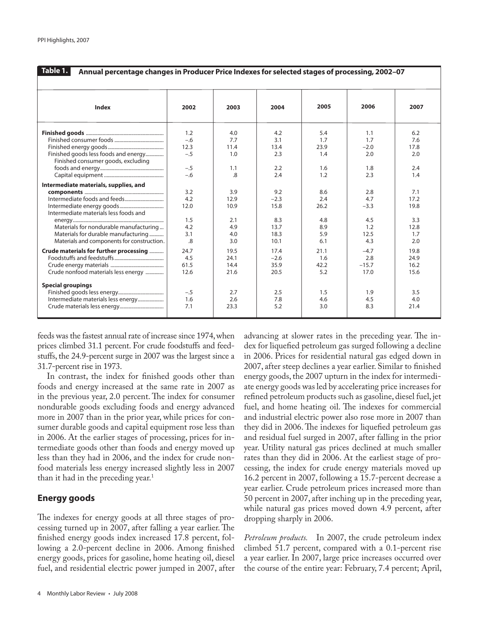| 2005<br>2006<br>2007<br><b>Index</b><br>2002<br>2003<br>2004<br>4.2<br>1.2<br>4.0<br>5.4<br>1.1<br>6.2<br>$-.6$<br>1.7<br>7.7<br>3.1<br>1.7<br>7.6<br>12.3<br>11.4<br>13.4<br>23.9<br>$-2.0$<br>17.8<br>Finished goods less foods and energy<br>$-.5$<br>1.0<br>2.3<br>1.4<br>2.0<br>2.0<br>Finished consumer goods, excluding<br>$-.5$<br>2.2<br>1.6<br>1.8<br>2.4<br>1.1<br>.8<br>2.3<br>$-.6$<br>2.4<br>1.2<br>1.4<br>Intermediate materials, supplies, and<br>3.2<br>9.2<br>8.6<br>2.8<br>7.1<br>3.9<br>4.2<br>4.7<br>$-2.3$<br>2.4<br>17.2<br>12.9<br>12.0<br>10.9<br>15.8<br>$-3.3$<br>19.8<br>26.2<br>Intermediate materials less foods and<br>1.5<br>8.3<br>4.5<br>3.3<br>4.8<br>2.1<br>Materials for nondurable manufacturing<br>4.2<br>1.2<br>4.9<br>13.7<br>8.9<br>12.8<br>3.1<br>5.9<br>Materials for durable manufacturing<br>4.0<br>18.3<br>12.5<br>1.7<br>Materials and components for construction.<br>.8<br>3.0<br>10.1<br>6.1<br>4.3<br>2.0 | Table 1.<br>Annual percentage changes in Producer Price Indexes for selected stages of processing, 2002-07 |      |      |      |      |        |      |  |
|---------------------------------------------------------------------------------------------------------------------------------------------------------------------------------------------------------------------------------------------------------------------------------------------------------------------------------------------------------------------------------------------------------------------------------------------------------------------------------------------------------------------------------------------------------------------------------------------------------------------------------------------------------------------------------------------------------------------------------------------------------------------------------------------------------------------------------------------------------------------------------------------------------------------------------------------------------------|------------------------------------------------------------------------------------------------------------|------|------|------|------|--------|------|--|
|                                                                                                                                                                                                                                                                                                                                                                                                                                                                                                                                                                                                                                                                                                                                                                                                                                                                                                                                                               |                                                                                                            |      |      |      |      |        |      |  |
|                                                                                                                                                                                                                                                                                                                                                                                                                                                                                                                                                                                                                                                                                                                                                                                                                                                                                                                                                               |                                                                                                            |      |      |      |      |        |      |  |
|                                                                                                                                                                                                                                                                                                                                                                                                                                                                                                                                                                                                                                                                                                                                                                                                                                                                                                                                                               |                                                                                                            |      |      |      |      |        |      |  |
|                                                                                                                                                                                                                                                                                                                                                                                                                                                                                                                                                                                                                                                                                                                                                                                                                                                                                                                                                               |                                                                                                            |      |      |      |      |        |      |  |
|                                                                                                                                                                                                                                                                                                                                                                                                                                                                                                                                                                                                                                                                                                                                                                                                                                                                                                                                                               |                                                                                                            |      |      |      |      |        |      |  |
|                                                                                                                                                                                                                                                                                                                                                                                                                                                                                                                                                                                                                                                                                                                                                                                                                                                                                                                                                               |                                                                                                            |      |      |      |      |        |      |  |
|                                                                                                                                                                                                                                                                                                                                                                                                                                                                                                                                                                                                                                                                                                                                                                                                                                                                                                                                                               |                                                                                                            |      |      |      |      |        |      |  |
|                                                                                                                                                                                                                                                                                                                                                                                                                                                                                                                                                                                                                                                                                                                                                                                                                                                                                                                                                               |                                                                                                            |      |      |      |      |        |      |  |
|                                                                                                                                                                                                                                                                                                                                                                                                                                                                                                                                                                                                                                                                                                                                                                                                                                                                                                                                                               |                                                                                                            |      |      |      |      |        |      |  |
|                                                                                                                                                                                                                                                                                                                                                                                                                                                                                                                                                                                                                                                                                                                                                                                                                                                                                                                                                               |                                                                                                            |      |      |      |      |        |      |  |
|                                                                                                                                                                                                                                                                                                                                                                                                                                                                                                                                                                                                                                                                                                                                                                                                                                                                                                                                                               |                                                                                                            |      |      |      |      |        |      |  |
|                                                                                                                                                                                                                                                                                                                                                                                                                                                                                                                                                                                                                                                                                                                                                                                                                                                                                                                                                               |                                                                                                            |      |      |      |      |        |      |  |
|                                                                                                                                                                                                                                                                                                                                                                                                                                                                                                                                                                                                                                                                                                                                                                                                                                                                                                                                                               |                                                                                                            |      |      |      |      |        |      |  |
|                                                                                                                                                                                                                                                                                                                                                                                                                                                                                                                                                                                                                                                                                                                                                                                                                                                                                                                                                               |                                                                                                            |      |      |      |      |        |      |  |
|                                                                                                                                                                                                                                                                                                                                                                                                                                                                                                                                                                                                                                                                                                                                                                                                                                                                                                                                                               |                                                                                                            |      |      |      |      |        |      |  |
|                                                                                                                                                                                                                                                                                                                                                                                                                                                                                                                                                                                                                                                                                                                                                                                                                                                                                                                                                               |                                                                                                            |      |      |      |      |        |      |  |
|                                                                                                                                                                                                                                                                                                                                                                                                                                                                                                                                                                                                                                                                                                                                                                                                                                                                                                                                                               |                                                                                                            |      |      |      |      |        |      |  |
|                                                                                                                                                                                                                                                                                                                                                                                                                                                                                                                                                                                                                                                                                                                                                                                                                                                                                                                                                               |                                                                                                            |      |      |      |      |        |      |  |
|                                                                                                                                                                                                                                                                                                                                                                                                                                                                                                                                                                                                                                                                                                                                                                                                                                                                                                                                                               |                                                                                                            |      |      |      |      |        |      |  |
|                                                                                                                                                                                                                                                                                                                                                                                                                                                                                                                                                                                                                                                                                                                                                                                                                                                                                                                                                               |                                                                                                            |      |      |      |      |        |      |  |
|                                                                                                                                                                                                                                                                                                                                                                                                                                                                                                                                                                                                                                                                                                                                                                                                                                                                                                                                                               | Crude materials for further processing                                                                     | 24.7 | 19.5 | 17.4 | 21.1 | $-4.7$ | 19.8 |  |
| 4.5<br>2.8<br>24.1<br>$-2.6$<br>1.6<br>24.9                                                                                                                                                                                                                                                                                                                                                                                                                                                                                                                                                                                                                                                                                                                                                                                                                                                                                                                   |                                                                                                            |      |      |      |      |        |      |  |
| 61.5<br>14.4<br>35.9<br>$-15.7$<br>16.2<br>42.2                                                                                                                                                                                                                                                                                                                                                                                                                                                                                                                                                                                                                                                                                                                                                                                                                                                                                                               |                                                                                                            |      |      |      |      |        |      |  |
| Crude nonfood materials less energy<br>12.6<br>20.5<br>5.2<br>17.0<br>21.6<br>15.6                                                                                                                                                                                                                                                                                                                                                                                                                                                                                                                                                                                                                                                                                                                                                                                                                                                                            |                                                                                                            |      |      |      |      |        |      |  |
| <b>Special groupings</b>                                                                                                                                                                                                                                                                                                                                                                                                                                                                                                                                                                                                                                                                                                                                                                                                                                                                                                                                      |                                                                                                            |      |      |      |      |        |      |  |
| $-.5$<br>2.5<br>1.5<br>1.9<br>3.5<br>2.7                                                                                                                                                                                                                                                                                                                                                                                                                                                                                                                                                                                                                                                                                                                                                                                                                                                                                                                      |                                                                                                            |      |      |      |      |        |      |  |
| Intermediate materials less energy<br>1.6<br>2.6<br>7.8<br>4.5<br>4.0<br>4.6                                                                                                                                                                                                                                                                                                                                                                                                                                                                                                                                                                                                                                                                                                                                                                                                                                                                                  |                                                                                                            |      |      |      |      |        |      |  |
| 7.1<br>23.3<br>5.2<br>3.0<br>8.3<br>21.4                                                                                                                                                                                                                                                                                                                                                                                                                                                                                                                                                                                                                                                                                                                                                                                                                                                                                                                      |                                                                                                            |      |      |      |      |        |      |  |
|                                                                                                                                                                                                                                                                                                                                                                                                                                                                                                                                                                                                                                                                                                                                                                                                                                                                                                                                                               |                                                                                                            |      |      |      |      |        |      |  |

feeds was the fastest annual rate of increase since 1974, when prices climbed 31.1 percent. For crude foodstuffs and feedstuffs, the 24.9-percent surge in 2007 was the largest since a 31.7-percent rise in 1973.

In contrast, the index for finished goods other than foods and energy increased at the same rate in 2007 as in the previous year, 2.0 percent. The index for consumer nondurable goods excluding foods and energy advanced more in 2007 than in the prior year, while prices for consumer durable goods and capital equipment rose less than in 2006. At the earlier stages of processing, prices for intermediate goods other than foods and energy moved up less than they had in 2006, and the index for crude nonfood materials less energy increased slightly less in 2007 than it had in the preceding year.<sup>1</sup>

## **Energy goods**

The indexes for energy goods at all three stages of processing turned up in 2007, after falling a year earlier. The finished energy goods index increased 17.8 percent, following a 2.0-percent decline in 2006. Among finished energy goods, prices for gasoline, home heating oil, diesel fuel, and residential electric power jumped in 2007, after

advancing at slower rates in the preceding year. The index for liquefied petroleum gas surged following a decline in 2006. Prices for residential natural gas edged down in 2007, after steep declines a year earlier. Similar to finished energy goods, the 2007 upturn in the index for intermediate energy goods was led by accelerating price increases for refined petroleum products such as gasoline, diesel fuel, jet fuel, and home heating oil. The indexes for commercial and industrial electric power also rose more in 2007 than they did in 2006. The indexes for liquefied petroleum gas and residual fuel surged in 2007, after falling in the prior year. Utility natural gas prices declined at much smaller rates than they did in 2006. At the earliest stage of processing, the index for crude energy materials moved up 16.2 percent in 2007, following a 15.7-percent decrease a year earlier. Crude petroleum prices increased more than 50 percent in 2007, after inching up in the preceding year, while natural gas prices moved down 4.9 percent, after dropping sharply in 2006.

*Petroleum products.* In 2007, the crude petroleum index climbed 51.7 percent, compared with a 0.1-percent rise a year earlier. In 2007, large price increases occurred over the course of the entire year: February, 7.4 percent; April,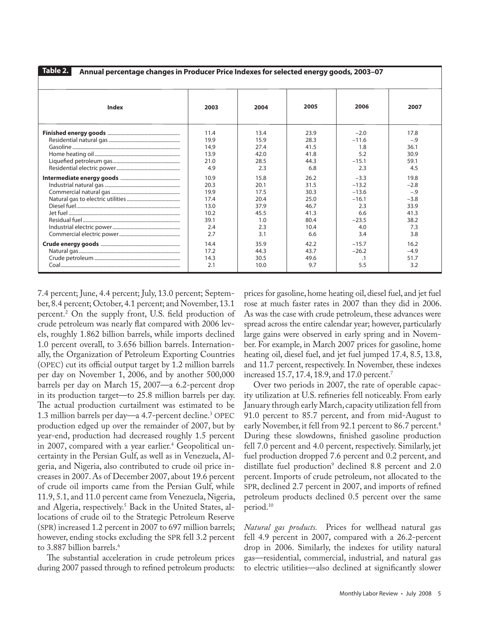**Table 2. Annual percentage changes in Producer Price Indexes for selected energy goods, 2003–07**

| Index | 2003 | 2004 | 2005 | 2006      | 2007   |
|-------|------|------|------|-----------|--------|
|       | 11.4 | 13.4 | 23.9 | $-2.0$    | 17.8   |
|       | 19.9 | 15.9 | 28.3 | $-11.6$   | $-.9$  |
|       | 14.9 | 27.4 | 41.5 | 1.8       | 36.1   |
|       | 13.9 | 42.0 | 41.8 | 5.2       | 30.9   |
|       | 21.0 | 28.5 | 44.3 | $-15.1$   | 59.1   |
|       | 4.9  | 2.3  | 6.8  | 2.3       | 4.5    |
|       | 10.9 | 15.8 | 26.2 | $-3.3$    | 19.8   |
|       | 20.3 | 20.1 | 31.5 | $-13.2$   | $-2.8$ |
|       | 19.9 | 17.5 | 30.3 | $-13.6$   | $-.9$  |
|       | 17.4 | 20.4 | 25.0 | $-16.1$   | $-3.8$ |
|       | 13.0 | 37.9 | 46.7 | 2.3       | 33.9   |
|       | 10.2 | 45.5 | 41.3 | 6.6       | 41.3   |
|       | 39.1 | 1.0  | 80.4 | $-23.5$   | 38.2   |
|       | 2.4  | 2.3  | 10.4 | 4.0       | 7.3    |
|       | 2.7  | 3.1  | 6.6  | 3.4       | 3.8    |
|       | 14.4 | 35.9 | 42.2 | $-15.7$   | 16.2   |
|       | 17.2 | 44.3 | 43.7 | $-26.2$   | $-4.9$ |
|       | 14.3 | 30.5 | 49.6 | $\cdot$ 1 | 51.7   |
|       | 2.1  | 10.0 | 9.7  | 5.5       | 3.2    |

7.4 percent; June, 4.4 percent; July, 13.0 percent; September, 8.4 percent; October, 4.1 percent; and November, 13.1 percent.2 On the supply front, U.S. field production of crude petroleum was nearly flat compared with 2006 levels, roughly 1.862 billion barrels, while imports declined 1.0 percent overall, to 3.656 billion barrels. Internationally, the Organization of Petroleum Exporting Countries (OPEC) cut its official output target by 1.2 million barrels per day on November 1, 2006, and by another 500,000 barrels per day on March 15, 2007—a 6.2-percent drop in its production target—to 25.8 million barrels per day. The actual production curtailment was estimated to be 1.3 million barrels per day—a 4.7-percent decline.3 OPEC production edged up over the remainder of 2007, but by year-end, production had decreased roughly 1.5 percent in 2007, compared with a year earlier.<sup>4</sup> Geopolitical uncertainty in the Persian Gulf, as well as in Venezuela, Algeria, and Nigeria, also contributed to crude oil price increases in 2007. As of December 2007, about 19.6 percent of crude oil imports came from the Persian Gulf, while 11.9, 5.1, and 11.0 percent came from Venezuela, Nigeria, and Algeria, respectively.<sup>5</sup> Back in the United States, allocations of crude oil to the Strategic Petroleum Reserve (SPR) increased 1.2 percent in 2007 to 697 million barrels; however, ending stocks excluding the SPR fell 3.2 percent to 3.887 billion barrels.<sup>6</sup>

The substantial acceleration in crude petroleum prices during 2007 passed through to refined petroleum products:

prices for gasoline, home heating oil, diesel fuel, and jet fuel rose at much faster rates in 2007 than they did in 2006. As was the case with crude petroleum, these advances were spread across the entire calendar year; however, particularly large gains were observed in early spring and in November. For example, in March 2007 prices for gasoline, home heating oil, diesel fuel, and jet fuel jumped 17.4, 8.5, 13.8, and 11.7 percent, respectively. In November, these indexes increased 15.7, 17.4, 18.9, and 17.0 percent.7

Over two periods in 2007, the rate of operable capacity utilization at U.S. refineries fell noticeably. From early January through early March, capacity utilization fell from 91.0 percent to 85.7 percent, and from mid-August to early November, it fell from 92.1 percent to 86.7 percent.<sup>8</sup> During these slowdowns, finished gasoline production fell 7.0 percent and 4.0 percent, respectively. Similarly, jet fuel production dropped 7.6 percent and 0.2 percent, and distillate fuel production<sup>9</sup> declined 8.8 percent and 2.0 percent. Imports of crude petroleum, not allocated to the SPR, declined 2.7 percent in 2007, and imports of refined petroleum products declined 0.5 percent over the same period.10

*Natural gas products.* Prices for wellhead natural gas fell 4.9 percent in 2007, compared with a 26.2-percent drop in 2006. Similarly, the indexes for utility natural gas—residential, commercial, industrial, and natural gas to electric utilities—also declined at significantly slower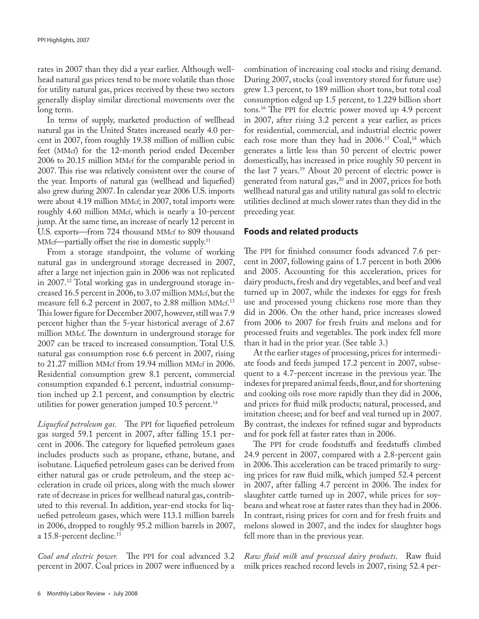rates in 2007 than they did a year earlier. Although wellhead natural gas prices tend to be more volatile than those for utility natural gas, prices received by these two sectors generally display similar directional movements over the long term.

In terms of supply, marketed production of wellhead natural gas in the United States increased nearly 4.0 percent in 2007, from roughly 19.38 million of million cubic feet (MMcf) for the 12-month period ended December 2006 to 20.15 million MMcf for the comparable period in 2007. This rise was relatively consistent over the course of the year. Imports of natural gas (wellhead and liquefied) also grew during 2007. In calendar year 2006 U.S. imports were about 4.19 million MMcf; in 2007, total imports were roughly 4.60 million MMcf, which is nearly a 10-percent jump. At the same time, an increase of nearly 12 percent in U.S. exports—from 724 thousand MMcf to 809 thousand MMcf—partially offset the rise in domestic supply.<sup>11</sup>

From a storage standpoint, the volume of working natural gas in underground storage decreased in 2007, after a large net injection gain in 2006 was not replicated in 2007.<sup>12</sup> Total working gas in underground storage increased 16.5 percent in 2006, to 3.07 million MMcf, but the measure fell 6.2 percent in 2007, to 2.88 million MMcf. 13 This lower figure for December 2007, however, still was 7.9 percent higher than the 5-year historical average of 2.67 million MMcf. The downturn in underground storage for 2007 can be traced to increased consumption. Total U.S. natural gas consumption rose 6.6 percent in 2007, rising to 21.27 million MMcf from 19.94 million MMcf in 2006. Residential consumption grew 8.1 percent, commercial consumption expanded 6.1 percent, industrial consumption inched up 2.1 percent, and consumption by electric utilities for power generation jumped  $10.5$  percent.<sup>14</sup>

*Liquefied petroleum gas.* The PPI for liquefied petroleum gas surged 59.1 percent in 2007, after falling 15.1 percent in 2006. The category for liquefied petroleum gases includes products such as propane, ethane, butane, and isobutane. Liquefied petroleum gases can be derived from either natural gas or crude petroleum, and the steep acceleration in crude oil prices, along with the much slower rate of decrease in prices for wellhead natural gas, contributed to this reversal. In addition, year-end stocks for liquefied petroleum gases, which were 113.1 million barrels in 2006, dropped to roughly 95.2 million barrels in 2007, a 15.8-percent decline.15

*Coal and electric power.* The PPI for coal advanced 3.2 percent in 2007. Coal prices in 2007 were influenced by a

combination of increasing coal stocks and rising demand. During 2007, stocks (coal inventory stored for future use) grew 1.3 percent, to 189 million short tons, but total coal consumption edged up 1.5 percent, to 1.229 billion short tons.16 The PPI for electric power moved up 4.9 percent in 2007, after rising 3.2 percent a year earlier, as prices for residential, commercial, and industrial electric power each rose more than they had in  $2006$ .<sup>17</sup> Coal,<sup>18</sup> which generates a little less than 50 percent of electric power domestically, has increased in price roughly 50 percent in the last 7 years.19 About 20 percent of electric power is generated from natural gas,<sup>20</sup> and in 2007, prices for both wellhead natural gas and utility natural gas sold to electric utilities declined at much slower rates than they did in the preceding year.

#### **Foods and related products**

The PPI for finished consumer foods advanced 7.6 percent in 2007, following gains of 1.7 percent in both 2006 and 2005. Accounting for this acceleration, prices for dairy products, fresh and dry vegetables, and beef and veal turned up in 2007, while the indexes for eggs for fresh use and processed young chickens rose more than they did in 2006. On the other hand, price increases slowed from 2006 to 2007 for fresh fruits and melons and for processed fruits and vegetables. The pork index fell more than it had in the prior year. (See table 3.)

At the earlier stages of processing, prices for intermediate foods and feeds jumped 17.2 percent in 2007, subsequent to a 4.7-percent increase in the previous year. The indexes for prepared animal feeds, flour, and for shortening and cooking oils rose more rapidly than they did in 2006, and prices for fluid milk products; natural, processed, and imitation cheese; and for beef and veal turned up in 2007. By contrast, the indexes for refined sugar and byproducts and for pork fell at faster rates than in 2006.

The PPI for crude foodstuffs and feedstuffs climbed 24.9 percent in 2007, compared with a 2.8-percent gain in 2006. This acceleration can be traced primarily to surging prices for raw fluid milk, which jumped 52.4 percent in 2007, after falling 4.7 percent in 2006. The index for slaughter cattle turned up in 2007, while prices for soybeans and wheat rose at faster rates than they had in 2006. In contrast, rising prices for corn and for fresh fruits and melons slowed in 2007, and the index for slaughter hogs fell more than in the previous year.

*Raw fluid milk and processed dairy products*. Raw fluid milk prices reached record levels in 2007, rising 52.4 per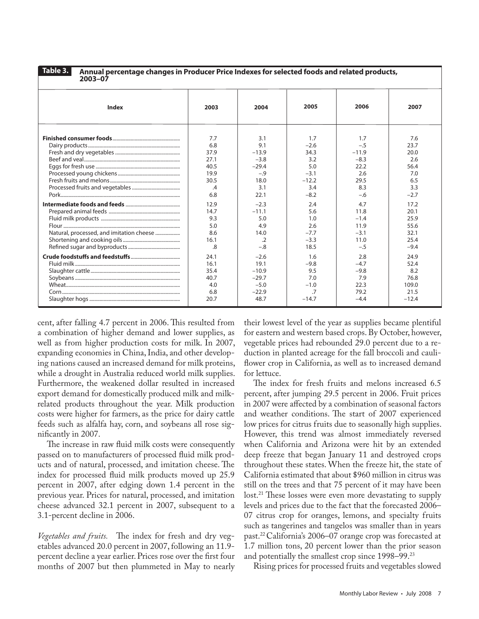**Table 3.**

**Annual percentage changes in Producer Price Indexes for selected foods and related products,** 

| 2003-07                                  |                |            |         |         |         |
|------------------------------------------|----------------|------------|---------|---------|---------|
| <b>Index</b>                             | 2003           | 2004       | 2005    | 2006    | 2007    |
|                                          | 7.7            | 3.1        | 1.7     | 1.7     | 7.6     |
|                                          | 6.8            | 9.1        | $-2.6$  | $-.5$   | 23.7    |
|                                          | 37.9           | $-13.9$    | 34.3    | $-11.9$ | 20.0    |
|                                          | 27.1           | $-3.8$     | 3.2     | $-8.3$  | 2.6     |
|                                          | 40.5           | $-29.4$    | 5.0     | 22.2    | 56.4    |
|                                          | 19.9           | $-.9$      | $-3.1$  | 2.6     | 7.0     |
|                                          | 30.5           | 18.0       | $-12.2$ | 29.5    | 6.5     |
|                                          | $\mathcal{A}$  | 3.1        | 3.4     | 8.3     | 3.3     |
|                                          | 6.8            | 22.1       | $-8.2$  | $-.6$   | $-2.7$  |
|                                          | 12.9           | $-2.3$     | 2.4     | 4.7     | 17.2    |
|                                          | 14.7           | $-11.1$    | 5.6     | 11.8    | 20.1    |
|                                          | 9.3            | 5.0        | 1.0     | $-1.4$  | 25.9    |
|                                          | 5.0            | 4.9        | 2.6     | 11.9    | 55.6    |
| Natural, processed, and imitation cheese | 8.6            | 14.0       | $-7.7$  | $-3.1$  | 32.1    |
|                                          | 16.1           | $\cdot$ .2 | $-3.3$  | 11.0    | 25.4    |
|                                          | $\overline{8}$ | $-.8$      | 18.5    | $-.5$   | $-9.4$  |
|                                          | 24.1           | $-2.6$     | 1.6     | 2.8     | 24.9    |
|                                          | 16.1           | 19.1       | $-9.8$  | $-4.7$  | 52.4    |
|                                          | 35.4           | $-10.9$    | 9.5     | $-9.8$  | 8.2     |
|                                          | 40.7           | $-29.7$    | 7.0     | 7.9     | 76.8    |
|                                          | 4.0            | $-5.0$     | $-1.0$  | 22.3    | 109.0   |
|                                          | 6.8            | $-22.9$    | .7      | 79.2    | 21.5    |
|                                          | 20.7           | 48.7       | $-14.7$ | $-4.4$  | $-12.4$ |

cent, after falling 4.7 percent in 2006. This resulted from a combination of higher demand and lower supplies, as well as from higher production costs for milk. In 2007, expanding economies in China, India, and other developing nations caused an increased demand for milk proteins, while a drought in Australia reduced world milk supplies. Furthermore, the weakened dollar resulted in increased export demand for domestically produced milk and milkrelated products throughout the year. Milk production costs were higher for farmers, as the price for dairy cattle feeds such as alfalfa hay, corn, and soybeans all rose significantly in 2007.

The increase in raw fluid milk costs were consequently passed on to manufacturers of processed fluid milk products and of natural, processed, and imitation cheese. The index for processed fluid milk products moved up 25.9 percent in 2007, after edging down 1.4 percent in the previous year. Prices for natural, processed, and imitation cheese advanced 32.1 percent in 2007, subsequent to a 3.1-percent decline in 2006.

*Vegetables and fruits.* The index for fresh and dry vegetables advanced 20.0 percent in 2007, following an 11.9 percent decline a year earlier. Prices rose over the first four months of 2007 but then plummeted in May to nearly their lowest level of the year as supplies became plentiful for eastern and western based crops. By October, however, vegetable prices had rebounded 29.0 percent due to a reduction in planted acreage for the fall broccoli and cauliflower crop in California, as well as to increased demand for lettuce.

The index for fresh fruits and melons increased 6.5 percent, after jumping 29.5 percent in 2006. Fruit prices in 2007 were affected by a combination of seasonal factors and weather conditions. The start of 2007 experienced low prices for citrus fruits due to seasonally high supplies. However, this trend was almost immediately reversed when California and Arizona were hit by an extended deep freeze that began January 11 and destroyed crops throughout these states. When the freeze hit, the state of California estimated that about \$960 million in citrus was still on the trees and that 75 percent of it may have been lost.<sup>21</sup> These losses were even more devastating to supply levels and prices due to the fact that the forecasted 2006– 07 citrus crop for oranges, lemons, and specialty fruits such as tangerines and tangelos was smaller than in years past.22 California's 2006–07 orange crop was forecasted at 1.7 million tons, 20 percent lower than the prior season and potentially the smallest crop since 1998–99.23

Rising prices for processed fruits and vegetables slowed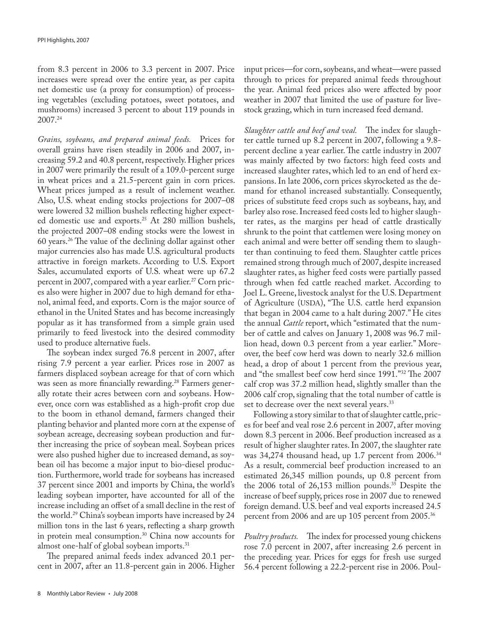from 8.3 percent in 2006 to 3.3 percent in 2007. Price increases were spread over the entire year, as per capita net domestic use (a proxy for consumption) of processing vegetables (excluding potatoes, sweet potatoes, and mushrooms) increased 3 percent to about 119 pounds in 2007.24

*Grains, soybeans, and prepared animal feeds.* Prices for overall grains have risen steadily in 2006 and 2007, increasing 59.2 and 40.8 percent, respectively. Higher prices in 2007 were primarily the result of a 109.0-percent surge in wheat prices and a 21.5-percent gain in corn prices. Wheat prices jumped as a result of inclement weather. Also, U.S. wheat ending stocks projections for 2007–08 were lowered 32 million bushels reflecting higher expected domestic use and exports.25 At 280 million bushels, the projected 2007–08 ending stocks were the lowest in 60 years.26 The value of the declining dollar against other major currencies also has made U.S. agricultural products attractive in foreign markets. According to U.S. Export Sales, accumulated exports of U.S. wheat were up 67.2 percent in 2007, compared with a year earlier.<sup>27</sup> Corn prices also were higher in 2007 due to high demand for ethanol, animal feed, and exports. Corn is the major source of ethanol in the United States and has become increasingly popular as it has transformed from a simple grain used primarily to feed livestock into the desired commodity used to produce alternative fuels.

The soybean index surged 76.8 percent in 2007, after rising 7.9 percent a year earlier. Prices rose in 2007 as farmers displaced soybean acreage for that of corn which was seen as more financially rewarding.<sup>28</sup> Farmers generally rotate their acres between corn and soybeans. However, once corn was established as a high-profit crop due to the boom in ethanol demand, farmers changed their planting behavior and planted more corn at the expense of soybean acreage, decreasing soybean production and further increasing the price of soybean meal. Soybean prices were also pushed higher due to increased demand, as soybean oil has become a major input to bio-diesel production. Furthermore, world trade for soybeans has increased 37 percent since 2001 and imports by China, the world's leading soybean importer, have accounted for all of the increase including an offset of a small decline in the rest of the world.<sup>29</sup> China's soybean imports have increased by 24 million tons in the last 6 years, reflecting a sharp growth in protein meal consumption.30 China now accounts for almost one-half of global soybean imports.<sup>31</sup>

The prepared animal feeds index advanced 20.1 percent in 2007, after an 11.8-percent gain in 2006. Higher input prices—for corn, soybeans, and wheat—were passed through to prices for prepared animal feeds throughout the year. Animal feed prices also were affected by poor weather in 2007 that limited the use of pasture for livestock grazing, which in turn increased feed demand.

*Slaughter cattle and beef and veal.* The index for slaughter cattle turned up 8.2 percent in 2007, following a 9.8 percent decline a year earlier. The cattle industry in 2007 was mainly affected by two factors: high feed costs and increased slaughter rates, which led to an end of herd expansions. In late 2006, corn prices skyrocketed as the demand for ethanol increased substantially. Consequently, prices of substitute feed crops such as soybeans, hay, and barley also rose. Increased feed costs led to higher slaughter rates, as the margins per head of cattle drastically shrunk to the point that cattlemen were losing money on each animal and were better off sending them to slaughter than continuing to feed them. Slaughter cattle prices remained strong through much of 2007, despite increased slaughter rates, as higher feed costs were partially passed through when fed cattle reached market. According to Joel L. Greene, livestock analyst for the U.S. Department of Agriculture (USDA), "The U.S. cattle herd expansion that began in 2004 came to a halt during 2007." He cites the annual *Cattle* report, which "estimated that the number of cattle and calves on January 1, 2008 was 96.7 million head, down 0.3 percent from a year earlier." Moreover, the beef cow herd was down to nearly 32.6 million head, a drop of about 1 percent from the previous year, and "the smallest beef cow herd since 1991."32 The 2007 calf crop was 37.2 million head, slightly smaller than the 2006 calf crop, signaling that the total number of cattle is set to decrease over the next several years.<sup>33</sup>

Following a story similar to that of slaughter cattle, prices for beef and veal rose 2.6 percent in 2007, after moving down 8.3 percent in 2006. Beef production increased as a result of higher slaughter rates. In 2007, the slaughter rate was 34,274 thousand head, up 1.7 percent from 2006.<sup>34</sup> As a result, commercial beef production increased to an estimated 26,345 million pounds, up 0.8 percent from the 2006 total of 26,153 million pounds.<sup>35</sup> Despite the increase of beef supply, prices rose in 2007 due to renewed foreign demand. U.S. beef and veal exports increased 24.5 percent from 2006 and are up 105 percent from 2005.36

*Poultry products.* The index for processed young chickens rose 7.0 percent in 2007, after increasing 2.6 percent in the preceding year. Prices for eggs for fresh use surged 56.4 percent following a 22.2-percent rise in 2006. Poul-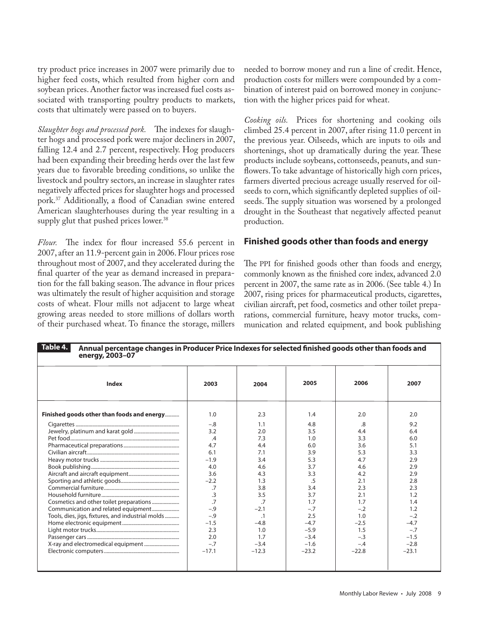try product price increases in 2007 were primarily due to higher feed costs, which resulted from higher corn and soybean prices. Another factor was increased fuel costs associated with transporting poultry products to markets, costs that ultimately were passed on to buyers.

*Slaughter hogs and processed pork.* The indexes for slaughter hogs and processed pork were major decliners in 2007, falling 12.4 and 2.7 percent, respectively. Hog producers had been expanding their breeding herds over the last few years due to favorable breeding conditions, so unlike the livestock and poultry sectors, an increase in slaughter rates negatively affected prices for slaughter hogs and processed pork.37 Additionally, a flood of Canadian swine entered American slaughterhouses during the year resulting in a supply glut that pushed prices lower.<sup>38</sup>

*Flour.* The index for flour increased 55.6 percent in 2007, after an 11.9-percent gain in 2006. Flour prices rose throughout most of 2007, and they accelerated during the final quarter of the year as demand increased in preparation for the fall baking season. The advance in flour prices was ultimately the result of higher acquisition and storage costs of wheat. Flour mills not adjacent to large wheat growing areas needed to store millions of dollars worth of their purchased wheat. To finance the storage, millers

needed to borrow money and run a line of credit. Hence, production costs for millers were compounded by a combination of interest paid on borrowed money in conjunction with the higher prices paid for wheat.

*Cooking oils.* Prices for shortening and cooking oils climbed 25.4 percent in 2007, after rising 11.0 percent in the previous year. Oilseeds, which are inputs to oils and shortenings, shot up dramatically during the year. These products include soybeans, cottonseeds, peanuts, and sunflowers. To take advantage of historically high corn prices, farmers diverted precious acreage usually reserved for oilseeds to corn, which significantly depleted supplies of oilseeds. The supply situation was worsened by a prolonged drought in the Southeast that negatively affected peanut production.

#### **Finished goods other than foods and energy**

The PPI for finished goods other than foods and energy, commonly known as the finished core index, advanced 2.0 percent in 2007, the same rate as in 2006. (See table 4.) In 2007, rising prices for pharmaceutical products, cigarettes, civilian aircraft, pet food, cosmetics and other toilet preparations, commercial furniture, heavy motor trucks, communication and related equipment, and book publishing

| Allingal percentage changes in Frouncer Frie indexes for selected imisiled goods other than loods and<br>energy, 2003-07 |                 |         |         |         |         |
|--------------------------------------------------------------------------------------------------------------------------|-----------------|---------|---------|---------|---------|
| <b>Index</b>                                                                                                             | 2003            | 2004    | 2005    | 2006    | 2007    |
| Finished goods other than foods and energy                                                                               | 1.0             | 2.3     | 1.4     | 2.0     | 2.0     |
|                                                                                                                          | $-.8$           | 1.1     | 4.8     | .8      | 9.2     |
|                                                                                                                          | 3.2             | 2.0     | 3.5     | 4.4     | 6.4     |
|                                                                                                                          | .4              | 7.3     | 1.0     | 3.3     | 6.0     |
|                                                                                                                          | 4.7             | 4.4     | 6.0     | 3.6     | 5.1     |
|                                                                                                                          | 6.1             | 7.1     | 3.9     | 5.3     | 3.3     |
|                                                                                                                          | $-1.9$          | 3.4     | 5.3     | 4.7     | 2.9     |
|                                                                                                                          | 4.0             | 4.6     | 3.7     | 4.6     | 2.9     |
|                                                                                                                          | 3.6             | 4.3     | 3.3     | 4.2     | 2.9     |
|                                                                                                                          | $-2.2$          | 1.3     | .5      | 2.1     | 2.8     |
|                                                                                                                          | $\overline{.7}$ | 3.8     | 3.4     | 2.3     | 2.3     |
|                                                                                                                          | $\overline{.}3$ | 3.5     | 3.7     | 2.1     | 1.2     |
|                                                                                                                          | $\overline{z}$  | .7      | 1.7     | 1.7     | 1.4     |
| Communication and related equipment                                                                                      | $-.9$           | $-2.1$  | $-.7$   | $-.2$   | 1.2     |
| Tools, dies, jigs, fixtures, and industrial molds                                                                        | $-.9$           | $\cdot$ | 2.5     | 1.0     | $-.2$   |
|                                                                                                                          | $-1.5$          | $-4.8$  | $-4.7$  | $-2.5$  | $-4.7$  |
|                                                                                                                          | 2.3             | 1.0     | $-5.9$  | 1.5     | $-.7$   |
|                                                                                                                          | 2.0             | 1.7     | $-3.4$  | $-.3$   | $-1.5$  |
|                                                                                                                          | $-.7$           | $-3.4$  | $-1.6$  | $-.4$   | $-2.8$  |
|                                                                                                                          | $-17.1$         | $-12.3$ | $-23.2$ | $-22.8$ | $-23.1$ |
|                                                                                                                          |                 |         |         |         |         |
|                                                                                                                          |                 |         |         |         |         |

## **Annual percentage changes in Producer Price Indexes for selected finished goods other than foods and Table 4.**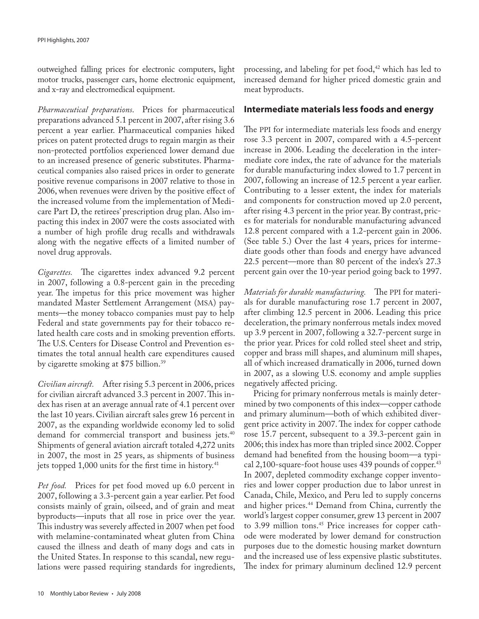outweighed falling prices for electronic computers, light motor trucks, passenger cars, home electronic equipment, and x-ray and electromedical equipment.

*Pharmaceutical preparations*. Prices for pharmaceutical preparations advanced 5.1 percent in 2007, after rising 3.6 percent a year earlier. Pharmaceutical companies hiked prices on patent protected drugs to regain margin as their non-protected portfolios experienced lower demand due to an increased presence of generic substitutes. Pharmaceutical companies also raised prices in order to generate positive revenue comparisons in 2007 relative to those in 2006, when revenues were driven by the positive effect of the increased volume from the implementation of Medicare Part D, the retirees' prescription drug plan. Also impacting this index in 2007 were the costs associated with a number of high profile drug recalls and withdrawals along with the negative effects of a limited number of novel drug approvals.

*Cigarettes.* The cigarettes index advanced 9.2 percent in 2007, following a 0.8-percent gain in the preceding year. The impetus for this price movement was higher mandated Master Settlement Arrangement (MSA) payments—the money tobacco companies must pay to help Federal and state governments pay for their tobacco related health care costs and in smoking prevention efforts. The U.S. Centers for Disease Control and Prevention estimates the total annual health care expenditures caused by cigarette smoking at \$75 billion.39

*Civilian aircraft.* After rising 5.3 percent in 2006, prices for civilian aircraft advanced 3.3 percent in 2007. This index has risen at an average annual rate of 4.1 percent over the last 10 years. Civilian aircraft sales grew 16 percent in 2007, as the expanding worldwide economy led to solid demand for commercial transport and business jets.<sup>40</sup> Shipments of general aviation aircraft totaled 4,272 units in 2007, the most in 25 years, as shipments of business jets topped 1,000 units for the first time in history.<sup>41</sup>

*Pet food.* Prices for pet food moved up 6.0 percent in 2007, following a 3.3-percent gain a year earlier. Pet food consists mainly of grain, oilseed, and of grain and meat byproducts—inputs that all rose in price over the year. This industry was severely affected in 2007 when pet food with melamine-contaminated wheat gluten from China caused the illness and death of many dogs and cats in the United States. In response to this scandal, new regulations were passed requiring standards for ingredients,

processing, and labeling for pet food,<sup>42</sup> which has led to increased demand for higher priced domestic grain and meat byproducts.

### **Intermediate materials less foods and energy**

The PPI for intermediate materials less foods and energy rose 3.3 percent in 2007, compared with a 4.5-percent increase in 2006. Leading the deceleration in the intermediate core index, the rate of advance for the materials for durable manufacturing index slowed to 1.7 percent in 2007, following an increase of 12.5 percent a year earlier. Contributing to a lesser extent, the index for materials and components for construction moved up 2.0 percent, after rising 4.3 percent in the prior year. By contrast, prices for materials for nondurable manufacturing advanced 12.8 percent compared with a 1.2-percent gain in 2006. (See table 5.) Over the last 4 years, prices for intermediate goods other than foods and energy have advanced 22.5 percent—more than 80 percent of the index's 27.3 percent gain over the 10-year period going back to 1997.

*Materials for durable manufacturing.* The PPI for materials for durable manufacturing rose 1.7 percent in 2007, after climbing 12.5 percent in 2006. Leading this price deceleration, the primary nonferrous metals index moved up 3.9 percent in 2007, following a 32.7-percent surge in the prior year. Prices for cold rolled steel sheet and strip, copper and brass mill shapes, and aluminum mill shapes, all of which increased dramatically in 2006, turned down in 2007, as a slowing U.S. economy and ample supplies negatively affected pricing.

Pricing for primary nonferrous metals is mainly determined by two components of this index—copper cathode and primary aluminum—both of which exhibited divergent price activity in 2007. The index for copper cathode rose 15.7 percent, subsequent to a 39.3-percent gain in 2006; this index has more than tripled since 2002. Copper demand had benefited from the housing boom—a typical  $2,100$ -square-foot house uses 439 pounds of copper.<sup>43</sup> In 2007, depleted commodity exchange copper inventories and lower copper production due to labor unrest in Canada, Chile, Mexico, and Peru led to supply concerns and higher prices.<sup>44</sup> Demand from China, currently the world's largest copper consumer, grew 13 percent in 2007 to 3.99 million tons.<sup>45</sup> Price increases for copper cathode were moderated by lower demand for construction purposes due to the domestic housing market downturn and the increased use of less expensive plastic substitutes. The index for primary aluminum declined 12.9 percent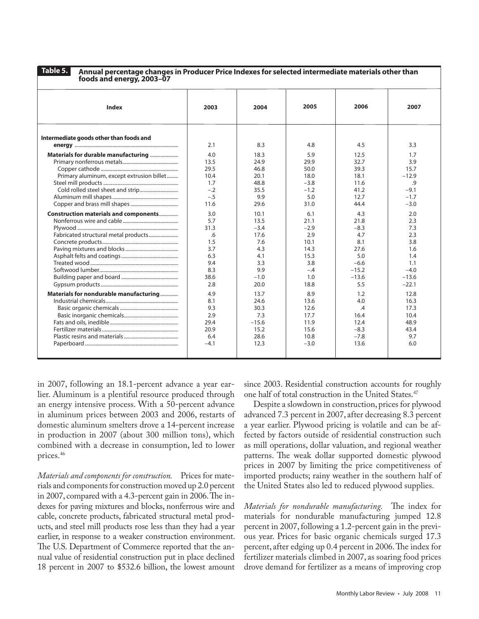**Table 5.**

**Annual percentage changes in Producer Price Indexes for selected intermediate materials other than foods and energy, 2003–07**

| Index                                        | 2003   | 2004    | 2005   | 2006    | 2007    |
|----------------------------------------------|--------|---------|--------|---------|---------|
| Intermediate goods other than foods and      | 2.1    | 8.3     | 4.8    | 4.5     | 3.3     |
| Materials for durable manufacturing          | 4.0    | 18.3    | 5.9    | 12.5    | 1.7     |
|                                              | 13.5   | 24.9    | 29.9   | 32.7    | 3.9     |
|                                              | 29.5   | 46.8    | 50.0   | 39.3    | 15.7    |
| Primary aluminum, except extrusion billet    | 10.4   | 20.1    | 18.0   | 18.1    | $-12.9$ |
|                                              | 1.7    | 48.8    | $-3.8$ | 11.6    | $\cdot$ |
|                                              | $-.2$  | 35.5    | $-1.2$ | 41.2    | $-9.1$  |
|                                              | $-.5$  | 9.9     | 5.0    | 12.7    | $-1.7$  |
|                                              | 11.6   | 29.6    | 31.0   | 44.4    | $-3.0$  |
| <b>Construction materials and components</b> | 3.0    | 10.1    | 6.1    | 4.3     | 2.0     |
|                                              | 5.7    | 13.5    | 21.1   | 21.8    | 2.3     |
|                                              | 31.3   | $-3.4$  | $-2.9$ | $-8.3$  | 7.3     |
|                                              | .6     | 17.6    | 2.9    | 4.7     | 2.3     |
|                                              | 1.5    | 7.6     | 10.1   | 8.1     | 3.8     |
|                                              | 3.7    | 4.3     | 14.3   | 27.6    | 1.6     |
|                                              | 6.3    | 4.1     | 15.3   | 5.0     | 1.4     |
|                                              | 9.4    | 3.3     | 3.8    | $-6.6$  | 1.1     |
|                                              | 8.3    | 9.9     | $-.4$  | $-15.2$ | $-4.0$  |
|                                              | 38.6   | $-1.0$  | 1.0    | $-13.6$ | $-13.6$ |
|                                              | 2.8    | 20.0    | 18.8   | 5.5     | $-22.1$ |
| Materials for nondurable manufacturing       | 4.9    | 13.7    | 8.9    | 1.2     | 12.8    |
|                                              | 8.1    | 24.6    | 13.6   | 4.0     | 16.3    |
|                                              | 9.3    | 30.3    | 12.6   | .4      | 17.3    |
|                                              | 2.9    | 7.3     | 17.7   | 16.4    | 10.4    |
|                                              | 29.4   | $-15.6$ | 11.9   | 12.4    | 48.9    |
|                                              | 20.9   | 15.2    | 15.6   | $-8.3$  | 43.4    |
|                                              | 6.4    | 28.6    | 10.8   | $-7.8$  | 9.7     |
|                                              | $-4.1$ | 12.3    | $-3.0$ | 13.6    | 6.0     |
|                                              |        |         |        |         |         |

in 2007, following an 18.1-percent advance a year earlier. Aluminum is a plentiful resource produced through an energy intensive process. With a 50-percent advance in aluminum prices between 2003 and 2006, restarts of domestic aluminum smelters drove a 14-percent increase in production in 2007 (about 300 million tons), which combined with a decrease in consumption, led to lower prices.46

*Materials and components for construction.* Prices for materials and components for construction moved up 2.0 percent in 2007, compared with a 4.3-percent gain in 2006. The indexes for paving mixtures and blocks, nonferrous wire and cable, concrete products, fabricated structural metal products, and steel mill products rose less than they had a year earlier, in response to a weaker construction environment. The U.S. Department of Commerce reported that the annual value of residential construction put in place declined 18 percent in 2007 to \$532.6 billion, the lowest amount

since 2003. Residential construction accounts for roughly one half of total construction in the United States.<sup>47</sup>

Despite a slowdown in construction, prices for plywood advanced 7.3 percent in 2007, after decreasing 8.3 percent a year earlier. Plywood pricing is volatile and can be affected by factors outside of residential construction such as mill operations, dollar valuation, and regional weather patterns. The weak dollar supported domestic plywood prices in 2007 by limiting the price competitiveness of imported products; rainy weather in the southern half of the United States also led to reduced plywood supplies.

*Materials for nondurable manufacturing.* The index for materials for nondurable manufacturing jumped 12.8 percent in 2007, following a 1.2-percent gain in the previous year. Prices for basic organic chemicals surged 17.3 percent, after edging up 0.4 percent in 2006. The index for fertilizer materials climbed in 2007, as soaring food prices drove demand for fertilizer as a means of improving crop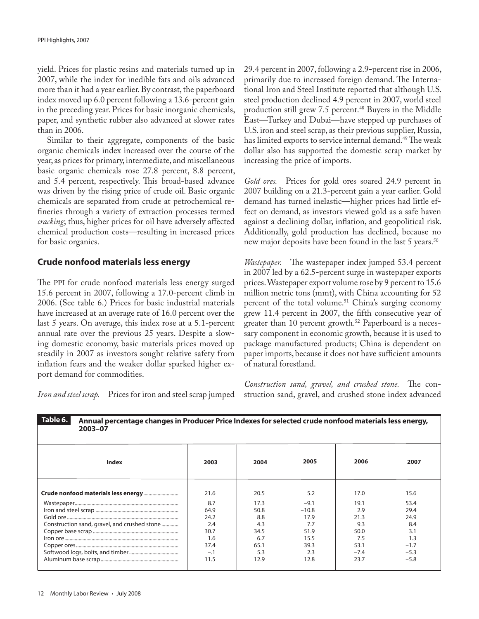yield. Prices for plastic resins and materials turned up in 2007, while the index for inedible fats and oils advanced more than it had a year earlier. By contrast, the paperboard index moved up 6.0 percent following a 13.6-percent gain in the preceding year. Prices for basic inorganic chemicals, paper, and synthetic rubber also advanced at slower rates than in 2006.

Similar to their aggregate, components of the basic organic chemicals index increased over the course of the year, as prices for primary, intermediate, and miscellaneous basic organic chemicals rose 27.8 percent, 8.8 percent, and 5.4 percent, respectively. This broad-based advance was driven by the rising price of crude oil. Basic organic chemicals are separated from crude at petrochemical refineries through a variety of extraction processes termed *cracking*; thus, higher prices for oil have adversely affected chemical production costs—resulting in increased prices for basic organics.

#### **Crude nonfood materials less energy**

The PPI for crude nonfood materials less energy surged 15.6 percent in 2007, following a 17.0-percent climb in 2006. (See table 6.) Prices for basic industrial materials have increased at an average rate of 16.0 percent over the last 5 years. On average, this index rose at a 5.1-percent annual rate over the previous 25 years. Despite a slowing domestic economy, basic materials prices moved up steadily in 2007 as investors sought relative safety from inflation fears and the weaker dollar sparked higher export demand for commodities.

*Iron and steel scrap.* Prices for iron and steel scrap jumped

29.4 percent in 2007, following a 2.9-percent rise in 2006, primarily due to increased foreign demand. The International Iron and Steel Institute reported that although U.S. steel production declined 4.9 percent in 2007, world steel production still grew 7.5 percent.<sup>48</sup> Buyers in the Middle East—Turkey and Dubai—have stepped up purchases of U.S. iron and steel scrap, as their previous supplier, Russia, has limited exports to service internal demand.<sup>49</sup> The weak dollar also has supported the domestic scrap market by increasing the price of imports.

*Gold ores.* Prices for gold ores soared 24.9 percent in 2007 building on a 21.3-percent gain a year earlier. Gold demand has turned inelastic—higher prices had little effect on demand, as investors viewed gold as a safe haven against a declining dollar, inflation, and geopolitical risk. Additionally, gold production has declined, because no new major deposits have been found in the last 5 years.<sup>50</sup>

*Wastepaper.* The wastepaper index jumped 53.4 percent in 2007 led by a 62.5-percent surge in wastepaper exports prices. Wastepaper export volume rose by 9 percent to 15.6 million metric tons (mmt), with China accounting for 52 percent of the total volume.<sup>51</sup> China's surging economy grew 11.4 percent in 2007, the fifth consecutive year of greater than 10 percent growth.<sup>52</sup> Paperboard is a necessary component in economic growth, because it is used to package manufactured products; China is dependent on paper imports, because it does not have sufficient amounts of natural forestland.

*Construction sand, gravel, and crushed stone.* The construction sand, gravel, and crushed stone index advanced

| Taple o.<br>Annual percentage changes in Producer Price Indexes for selected crude honfood materials less energy,<br>2003-07 |       |      |         |        |        |  |
|------------------------------------------------------------------------------------------------------------------------------|-------|------|---------|--------|--------|--|
| <b>Index</b>                                                                                                                 | 2003  | 2004 | 2005    | 2006   | 2007   |  |
|                                                                                                                              | 21.6  | 20.5 | 5.2     | 17.0   | 15.6   |  |
|                                                                                                                              | 8.7   | 17.3 | $-9.1$  | 19.1   | 53.4   |  |
|                                                                                                                              | 64.9  | 50.8 | $-10.8$ | 2.9    | 29.4   |  |
|                                                                                                                              | 24.2  | 8.8  | 17.9    | 21.3   | 24.9   |  |
| Construction sand, gravel, and crushed stone                                                                                 | 2.4   | 4.3  | 7.7     | 9.3    | 8.4    |  |
|                                                                                                                              | 30.7  | 34.5 | 51.9    | 50.0   | 3.1    |  |
|                                                                                                                              | 1.6   | 6.7  | 15.5    | 7.5    | 1.3    |  |
|                                                                                                                              | 37.4  | 65.1 | 39.3    | 53.1   | $-1.7$ |  |
|                                                                                                                              | $-.1$ | 5.3  | 2.3     | $-7.4$ | $-5.3$ |  |
|                                                                                                                              | 11.5  | 12.9 | 12.8    | 23.7   | $-5.8$ |  |

 **Annual percentage changes in Producer Price Indexes for selected crude nonfood materials less energy, Table 6.**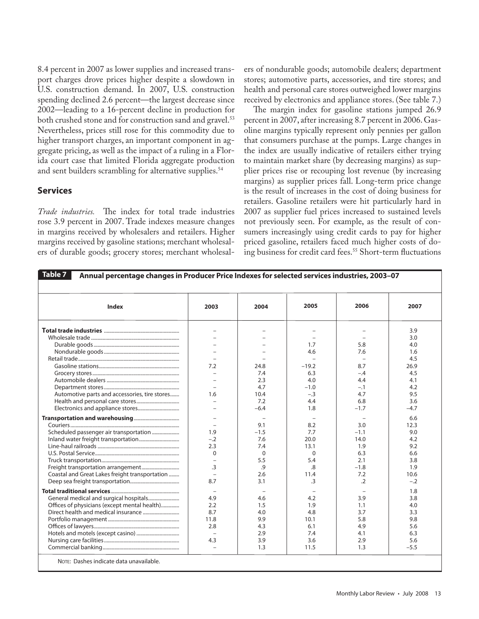8.4 percent in 2007 as lower supplies and increased transport charges drove prices higher despite a slowdown in U.S. construction demand. In 2007, U.S. construction spending declined 2.6 percent—the largest decrease since 2002—leading to a 16-percent decline in production for both crushed stone and for construction sand and gravel.<sup>53</sup> Nevertheless, prices still rose for this commodity due to higher transport charges, an important component in aggregate pricing, as well as the impact of a ruling in a Florida court case that limited Florida aggregate production and sent builders scrambling for alternative supplies.<sup>54</sup>

### **Services**

*Trade industries.* The index for total trade industries rose 3.9 percent in 2007. Trade indexes measure changes in margins received by wholesalers and retailers. Higher margins received by gasoline stations; merchant wholesalers of durable goods; grocery stores; merchant wholesalers of nondurable goods; automobile dealers; department stores; automotive parts, accessories, and tire stores; and health and personal care stores outweighed lower margins received by electronics and appliance stores. (See table 7.)

The margin index for gasoline stations jumped 26.9 percent in 2007, after increasing 8.7 percent in 2006. Gasoline margins typically represent only pennies per gallon that consumers purchase at the pumps. Large changes in the index are usually indicative of retailers either trying to maintain market share (by decreasing margins) as supplier prices rise or recouping lost revenue (by increasing margins) as supplier prices fall. Long-term price change is the result of increases in the cost of doing business for retailers. Gasoline retailers were hit particularly hard in 2007 as supplier fuel prices increased to sustained levels not previously seen. For example, as the result of consumers increasingly using credit cards to pay for higher priced gasoline, retailers faced much higher costs of doing business for credit card fees.<sup>55</sup> Short-term fluctuations

| Table 7 $\vert$<br>Annual percentage changes in Producer Price Indexes for selected services industries, 2003-07 |                          |          |          |                |        |  |  |
|------------------------------------------------------------------------------------------------------------------|--------------------------|----------|----------|----------------|--------|--|--|
|                                                                                                                  |                          |          |          |                |        |  |  |
| <b>Index</b>                                                                                                     | 2003                     | 2004     | 2005     | 2006           | 2007   |  |  |
|                                                                                                                  | $\equiv$                 |          |          |                | 3.9    |  |  |
|                                                                                                                  | $\equiv$                 |          |          |                | 3.0    |  |  |
|                                                                                                                  |                          |          | 1.7      | 5.8            | 4.0    |  |  |
|                                                                                                                  |                          |          | 4.6      | 7.6            | 1.6    |  |  |
|                                                                                                                  |                          |          |          |                | 4.5    |  |  |
|                                                                                                                  | 7.2                      | 24.8     | $-19.2$  | 8.7            | 26.9   |  |  |
|                                                                                                                  | $\equiv$                 | 7.4      | 6.3      | $-.4$          | 4.5    |  |  |
|                                                                                                                  |                          | 2.3      | 4.0      | 4.4            | 4.1    |  |  |
|                                                                                                                  |                          | 4.7      | $-1.0$   | $-.1$          | 4.2    |  |  |
| Automotive parts and accessories, tire stores                                                                    | 1.6                      | 10.4     | $-.3$    | 4.7            | 9.5    |  |  |
|                                                                                                                  |                          | 7.2      | 4.4      | 6.8            | 3.6    |  |  |
|                                                                                                                  |                          | $-6.4$   | 1.8      | $-1.7$         | $-4.7$ |  |  |
|                                                                                                                  |                          |          |          |                |        |  |  |
|                                                                                                                  |                          |          |          |                | 6.6    |  |  |
|                                                                                                                  | $\equiv$                 | 9.1      | 8.2      | 3.0            | 12.3   |  |  |
| Scheduled passenger air transportation                                                                           | 1.9                      | $-1.5$   | 7.7      | $-1.1$         | 9.0    |  |  |
|                                                                                                                  | $-.2$                    | 7.6      | 20.0     | 14.0           | 4.2    |  |  |
|                                                                                                                  | 2.3                      | 7.4      | 13.1     | 1.9            | 9.2    |  |  |
|                                                                                                                  | $\Omega$                 | $\Omega$ | $\Omega$ | 6.3            | 6.6    |  |  |
|                                                                                                                  |                          | 5.5      | 5.4      | 2.1            | 3.8    |  |  |
|                                                                                                                  | $\overline{3}$           | .9       | .8       | $-1.8$         | 1.9    |  |  |
| Coastal and Great Lakes freight transportation                                                                   | $\overline{a}$           | 2.6      | 11.4     | 7.2            | 10.6   |  |  |
|                                                                                                                  | 8.7                      | 3.1      | .3       | $\overline{2}$ | $-.2$  |  |  |
|                                                                                                                  |                          |          |          |                | 1.8    |  |  |
|                                                                                                                  | 4.9                      | 4.6      | 4.2      | 3.9            | 3.8    |  |  |
| Offices of physicians (except mental health)                                                                     | 2.2                      | 1.5      | 1.9      | 1.1            | 4.0    |  |  |
|                                                                                                                  | 8.7                      | 4.0      | 4.8      | 3.7            | 3.3    |  |  |
|                                                                                                                  | 11.8                     | 9.9      | 10.1     | 5.8            | 9.8    |  |  |
|                                                                                                                  | 2.8                      | 4.3      | 6.1      | 4.9            | 5.6    |  |  |
|                                                                                                                  |                          | 2.9      | 7.4      | 4.1            | 6.3    |  |  |
|                                                                                                                  | 4.3                      | 3.9      | 3.6      | 2.9            | 5.6    |  |  |
|                                                                                                                  | $\overline{\phantom{a}}$ | 1.3      | 11.5     | 1.3            | $-5.5$ |  |  |
| NOTE: Dashes indicate data unavailable.                                                                          |                          |          |          |                |        |  |  |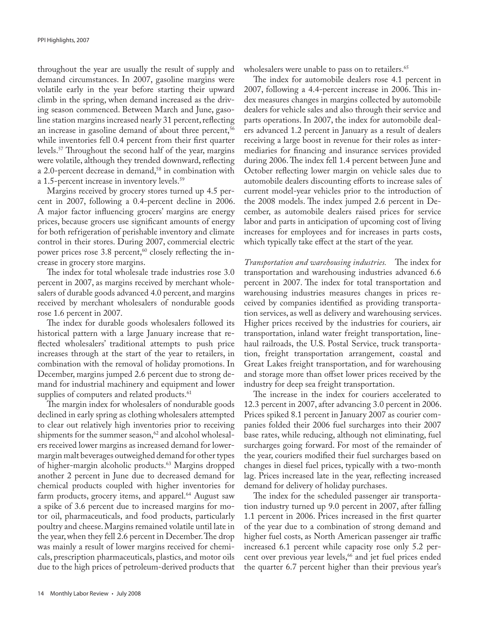throughout the year are usually the result of supply and demand circumstances. In 2007, gasoline margins were volatile early in the year before starting their upward climb in the spring, when demand increased as the driving season commenced. Between March and June, gasoline station margins increased nearly 31 percent, reflecting an increase in gasoline demand of about three percent,<sup>56</sup> while inventories fell 0.4 percent from their first quarter levels.57 Throughout the second half of the year, margins were volatile, although they trended downward, reflecting a 2.0-percent decrease in demand,<sup>58</sup> in combination with a 1.5-percent increase in inventory levels.<sup>59</sup>

Margins received by grocery stores turned up 4.5 percent in 2007, following a 0.4-percent decline in 2006. A major factor influencing grocers' margins are energy prices, because grocers use significant amounts of energy for both refrigeration of perishable inventory and climate control in their stores. During 2007, commercial electric power prices rose 3.8 percent, $60$  closely reflecting the increase in grocery store margins.

The index for total wholesale trade industries rose 3.0 percent in 2007, as margins received by merchant wholesalers of durable goods advanced 4.0 percent, and margins received by merchant wholesalers of nondurable goods rose 1.6 percent in 2007.

The index for durable goods wholesalers followed its historical pattern with a large January increase that reflected wholesalers' traditional attempts to push price increases through at the start of the year to retailers, in combination with the removal of holiday promotions. In December, margins jumped 2.6 percent due to strong demand for industrial machinery and equipment and lower supplies of computers and related products.<sup>61</sup>

The margin index for wholesalers of nondurable goods declined in early spring as clothing wholesalers attempted to clear out relatively high inventories prior to receiving shipments for the summer season, $62$  and alcohol wholesalers received lower margins as increased demand for lowermargin malt beverages outweighed demand for other types of higher-margin alcoholic products.63 Margins dropped another 2 percent in June due to decreased demand for chemical products coupled with higher inventories for farm products, grocery items, and apparel.<sup>64</sup> August saw a spike of 3.6 percent due to increased margins for motor oil, pharmaceuticals, and food products, particularly poultry and cheese. Margins remained volatile until late in the year, when they fell 2.6 percent in December. The drop was mainly a result of lower margins received for chemicals, prescription pharmaceuticals, plastics, and motor oils due to the high prices of petroleum-derived products that

wholesalers were unable to pass on to retailers.<sup>65</sup>

The index for automobile dealers rose 4.1 percent in 2007, following a 4.4-percent increase in 2006. This index measures changes in margins collected by automobile dealers for vehicle sales and also through their service and parts operations. In 2007, the index for automobile dealers advanced 1.2 percent in January as a result of dealers receiving a large boost in revenue for their roles as intermediaries for financing and insurance services provided during 2006. The index fell 1.4 percent between June and October reflecting lower margin on vehicle sales due to automobile dealers discounting efforts to increase sales of current model-year vehicles prior to the introduction of the 2008 models. The index jumped 2.6 percent in December, as automobile dealers raised prices for service labor and parts in anticipation of upcoming cost of living increases for employees and for increases in parts costs, which typically take effect at the start of the year.

*Transportation and warehousing industries.* The index for transportation and warehousing industries advanced 6.6 percent in 2007. The index for total transportation and warehousing industries measures changes in prices received by companies identified as providing transportation services, as well as delivery and warehousing services. Higher prices received by the industries for couriers, air transportation, inland water freight transportation, linehaul railroads, the U.S. Postal Service, truck transportation, freight transportation arrangement, coastal and Great Lakes freight transportation, and for warehousing and storage more than offset lower prices received by the industry for deep sea freight transportation.

The increase in the index for couriers accelerated to 12.3 percent in 2007, after advancing 3.0 percent in 2006. Prices spiked 8.1 percent in January 2007 as courier companies folded their 2006 fuel surcharges into their 2007 base rates, while reducing, although not eliminating, fuel surcharges going forward. For most of the remainder of the year, couriers modified their fuel surcharges based on changes in diesel fuel prices, typically with a two-month lag. Prices increased late in the year, reflecting increased demand for delivery of holiday purchases.

The index for the scheduled passenger air transportation industry turned up 9.0 percent in 2007, after falling 1.1 percent in 2006. Prices increased in the first quarter of the year due to a combination of strong demand and higher fuel costs, as North American passenger air traffic increased 6.1 percent while capacity rose only 5.2 percent over previous year levels,<sup>66</sup> and jet fuel prices ended the quarter 6.7 percent higher than their previous year's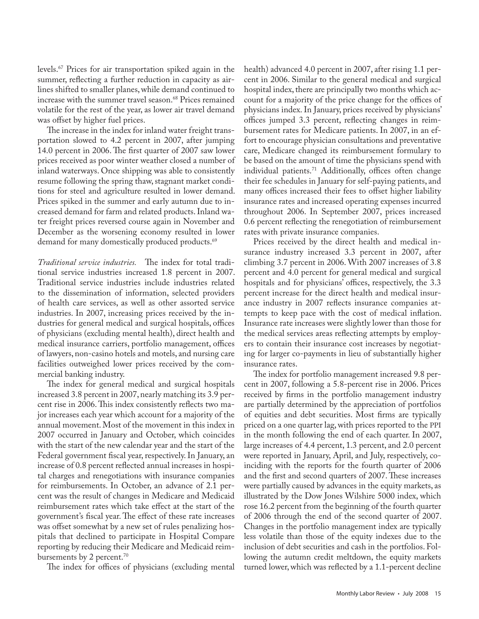levels.67 Prices for air transportation spiked again in the summer, reflecting a further reduction in capacity as airlines shifted to smaller planes, while demand continued to increase with the summer travel season.<sup>68</sup> Prices remained volatile for the rest of the year, as lower air travel demand was offset by higher fuel prices.

The increase in the index for inland water freight transportation slowed to 4.2 percent in 2007, after jumping 14.0 percent in 2006. The first quarter of 2007 saw lower prices received as poor winter weather closed a number of inland waterways. Once shipping was able to consistently resume following the spring thaw, stagnant market conditions for steel and agriculture resulted in lower demand. Prices spiked in the summer and early autumn due to increased demand for farm and related products. Inland water freight prices reversed course again in November and December as the worsening economy resulted in lower demand for many domestically produced products.<sup>69</sup>

*Traditional service industries.* The index for total traditional service industries increased 1.8 percent in 2007. Traditional service industries include industries related to the dissemination of information, selected providers of health care services, as well as other assorted service industries. In 2007, increasing prices received by the industries for general medical and surgical hospitals, offices of physicians (excluding mental health), direct health and medical insurance carriers, portfolio management, offices of lawyers, non-casino hotels and motels, and nursing care facilities outweighed lower prices received by the commercial banking industry.

The index for general medical and surgical hospitals increased 3.8 percent in 2007, nearly matching its 3.9 percent rise in 2006. This index consistently reflects two major increases each year which account for a majority of the annual movement. Most of the movement in this index in 2007 occurred in January and October, which coincides with the start of the new calendar year and the start of the Federal government fiscal year, respectively. In January, an increase of 0.8 percent reflected annual increases in hospital charges and renegotiations with insurance companies for reimbursements. In October, an advance of 2.1 percent was the result of changes in Medicare and Medicaid reimbursement rates which take effect at the start of the government's fiscal year. The effect of these rate increases was offset somewhat by a new set of rules penalizing hospitals that declined to participate in Hospital Compare reporting by reducing their Medicare and Medicaid reimbursements by 2 percent.<sup>70</sup>

The index for offices of physicians (excluding mental

health) advanced 4.0 percent in 2007, after rising 1.1 percent in 2006. Similar to the general medical and surgical hospital index, there are principally two months which account for a majority of the price change for the offices of physicians index. In January, prices received by physicians' offices jumped 3.3 percent, reflecting changes in reimbursement rates for Medicare patients. In 2007, in an effort to encourage physician consultations and preventative care, Medicare changed its reimbursement formulary to be based on the amount of time the physicians spend with individual patients.<sup>71</sup> Additionally, offices often change their fee schedules in January for self-paying patients, and many offices increased their fees to offset higher liability insurance rates and increased operating expenses incurred throughout 2006. In September 2007, prices increased 0.6 percent reflecting the renegotiation of reimbursement rates with private insurance companies.

Prices received by the direct health and medical insurance industry increased 3.3 percent in 2007, after climbing 3.7 percent in 2006. With 2007 increases of 3.8 percent and 4.0 percent for general medical and surgical hospitals and for physicians' offices, respectively, the 3.3 percent increase for the direct health and medical insurance industry in 2007 reflects insurance companies attempts to keep pace with the cost of medical inflation. Insurance rate increases were slightly lower than those for the medical services areas reflecting attempts by employers to contain their insurance cost increases by negotiating for larger co-payments in lieu of substantially higher insurance rates.

The index for portfolio management increased 9.8 percent in 2007, following a 5.8-percent rise in 2006. Prices received by firms in the portfolio management industry are partially determined by the appreciation of portfolios of equities and debt securities. Most firms are typically priced on a one quarter lag, with prices reported to the PPI in the month following the end of each quarter. In 2007, large increases of 4.4 percent, 1.3 percent, and 2.0 percent were reported in January, April, and July, respectively, coinciding with the reports for the fourth quarter of 2006 and the first and second quarters of 2007. These increases were partially caused by advances in the equity markets, as illustrated by the Dow Jones Wilshire 5000 index, which rose 16.2 percent from the beginning of the fourth quarter of 2006 through the end of the second quarter of 2007. Changes in the portfolio management index are typically less volatile than those of the equity indexes due to the inclusion of debt securities and cash in the portfolios. Following the autumn credit meltdown, the equity markets turned lower, which was reflected by a 1.1-percent decline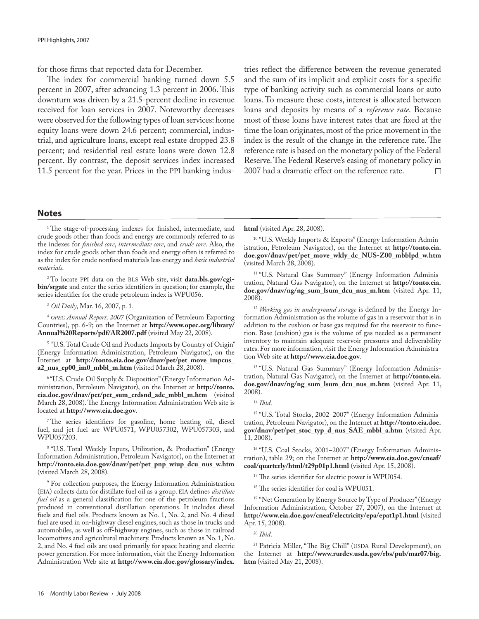for those firms that reported data for December.

The index for commercial banking turned down 5.5 percent in 2007, after advancing 1.3 percent in 2006. This downturn was driven by a 21.5-percent decline in revenue received for loan services in 2007. Noteworthy decreases were observed for the following types of loan services: home equity loans were down 24.6 percent; commercial, industrial, and agriculture loans, except real estate dropped 23.8 percent; and residential real estate loans were down 12.8 percent. By contrast, the deposit services index increased 11.5 percent for the year. Prices in the PPI banking industries reflect the difference between the revenue generated and the sum of its implicit and explicit costs for a specific type of banking activity such as commercial loans or auto loans. To measure these costs, interest is allocated between loans and deposits by means of a *reference rate*. Because most of these loans have interest rates that are fixed at the time the loan originates, most of the price movement in the index is the result of the change in the reference rate. The reference rate is based on the monetary policy of the Federal Reserve. The Federal Reserve's easing of monetary policy in 2007 had a dramatic effect on the reference rate.  $\Box$ 

#### **Notes**

<sup>1</sup>The stage-of-processing indexes for finished, intermediate, and crude goods other than foods and energy are commonly referred to as the indexes for *finished core*, *intermediate core*, and *crude core*. Also, the index for crude goods other than foods and energy often is referred to as the index for crude nonfood materials less energy and *basic industrial materials*.

2 To locate PPI data on the BLS Web site, visit **data.bls.gov/cgibin/srgate** and enter the series identifiers in question; for example, the series identifier for the crude petroleum index is WPU056.

3 *Oil Daily*, Mar. 16, 2007, p. 1.

<sup>4</sup> *OPEC Annual Report, 2007* (Organization of Petroleum Exporting Countries), pp. 6-9; on the Internet at **http://www.opec.org/library/** Annual%20Reports/pdf/AR2007.pdf (visited May 22, 2008).

5 "U.S. Total Crude Oil and Products Imports by Country of Origin" (Energy Information Administration, Petroleum Navigator), on the Internet at **http://tonto.eia.doe.gov/dnav/pet/pet\_move\_impcus\_ a2\_nus\_ep00\_im0\_mbbl\_m.htm** (visited March 28, 2008).

6 "U.S. Crude Oil Supply & Disposition" (Energy Information Administration, Petroleum Navigator), on the Internet at **http://tonto. eia.doe.gov/dnav/pet/pet\_sum\_crdsnd\_adc\_mbbl\_m.htm** (visited March 28, 2008). The Energy Information Administration Web site is located at **http://www.eia.doe.gov**.

7 The series identifiers for gasoline, home heating oil, diesel fuel, and jet fuel are WPU0571, WPU057302, WPU057303, and WPU057203.

8 "U.S. Total Weekly Inputs, Utilization, & Production" (Energy Information Administration, Petroleum Navigator), on the Internet at **http://tonto.eia.doe.gov/dnav/pet/pet\_pnp\_wiup\_dcu\_nus\_w.htm**  (visited March 28, 2008).

9 For collection purposes, the Energy Information Administration (EIA) collects data for distillate fuel oil as a group. EIA defines *distillate fuel oil* as a general classification for one of the petroleum fractions produced in conventional distillation operations. It includes diesel fuels and fuel oils. Products known as No. 1, No. 2, and No. 4 diesel fuel are used in on-highway diesel engines, such as those in trucks and automobiles, as well as off-highway engines, such as those in railroad locomotives and agricultural machinery. Products known as No. 1, No. 2, and No. 4 fuel oils are used primarily for space heating and electric power generation. For more information, visit the Energy Information Administration Web site at **http://www.eia.doe.gov/glossary/index.**

**html** (visited Apr. 28, 2008).

<sup>10</sup> "U.S. Weekly Imports & Exports" (Energy Information Administration, Petroleum Navigator), on the Internet at **http://tonto.eia. doe.gov/dnav/pet/pet\_move\_wkly\_dc\_NUS-Z00\_mbblpd\_w.htm** (visited March 28, 2008).

<sup>11</sup> "U.S. Natural Gas Summary" (Energy Information Administration, Natural Gas Navigator), on the Internet at **http://tonto.eia. doe.gov/dnav/ng/ng\_sum\_lsum\_dcu\_nus\_m.htm** (visited Apr. 11, 2008).

12 *Working gas in underground storage* is defined by the Energy Information Administration as the volume of gas in a reservoir that is in addition to the cushion or base gas required for the reservoir to function. Base (cushion) gas is the volume of gas needed as a permanent inventory to maintain adequate reservoir pressures and deliverability rates. For more information, visit the Energy Information Administration Web site at **http://www.eia.doe.gov**.

<sup>13</sup> "U.S. Natural Gas Summary" (Energy Information Administration, Natural Gas Navigator), on the Internet at **http://tonto.eia. doe.gov/dnav/ng/ng\_sum\_lsum\_dcu\_nus\_m.htm** (visited Apr. 11, 2008).

#### 14 *Ibid*.

<sup>15</sup> "U.S. Total Stocks, 2002-2007" (Energy Information Administration, Petroleum Navigator), on the Internet at **http://tonto.eia.doe. gov/dnav/pet/pet\_stoc\_typ\_d\_nus\_SAE\_mbbl\_a.htm** (visited Apr. 11, 2008).

<sup>16</sup> "U.S. Coal Stocks, 2001-2007" (Energy Information Administration), table 29; on the Internet at **http://www.eia.doe.gov/cneaf/ coal/quarterly/html/t29p01p1.html** (visited Apr. 15, 2008).

<sup>17</sup> The series identifier for electric power is WPU054.

<sup>18</sup> The series identifier for coal is WPU051.

<sup>19</sup> "Net Generation by Energy Source by Type of Producer" (Energy Information Administration, October 27, 2007), on the Internet at **http://www.eia.doe.gov/cneaf/electricity/epa/epat1p1.html** (visited Apr. 15, 2008).

20 *Ibid*.

21 Patricia Miller, "The Big Chill" (USDA Rural Development), on the Internet at **http://www.rurdev.usda.gov/rbs/pub/mar07/big. htm** (visited May 21, 2008).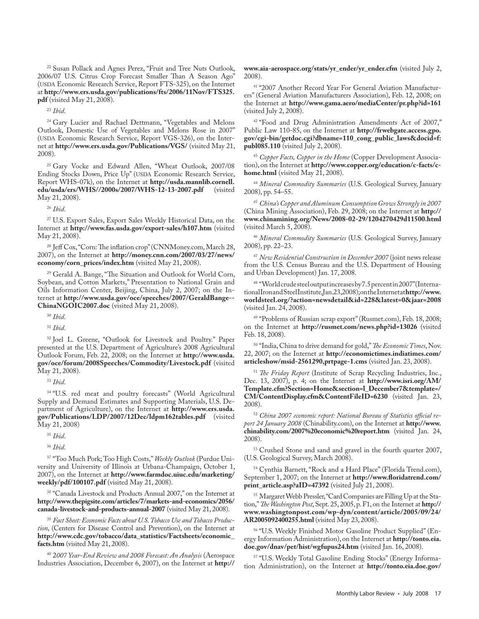<sup>22</sup> Susan Pollack and Agnes Perez, "Fruit and Tree Nuts Outlook, 2006/07 U.S. Citrus Crop Forecast Smaller Than A Season Ago" (USDA Economic Research Service, Report FTS-325), on the Internet at **http://www.ers.usda.gov/publications/fts/2006/11Nov/FTS325. pdf** (visited May 21, 2008).

23 *Ibid*.

<sup>24</sup> Gary Lucier and Rachael Dettmann, "Vegetables and Melons Outlook, Domestic Use of Vegetables and Melons Rose in 2007" (USDA Economic Research Service, Report VGS-326), on the Internet at **http://www.ers.usda.gov/Publications/VGS/** (visited May 21, 2008).

<sup>25</sup> Gary Vocke and Edward Allen, "Wheat Outlook, 2007/08 Ending Stocks Down, Price Up" (USDA Economic Research Service, Report WHS-07k), on the Internet at **http://usda.mannlib.cornell. edu/usda/ers/WHS//2000s/2007/WHS-12-13-2007.pdf** (visited May 21, 2008).

26 *Ibid*.

27 U.S. Export Sales, Export Sales Weekly Historical Data, on the Internet at **http://www.fas.usda.gov/export-sales/h107.htm** (visited May 21, 2008).

28 Jeff Cox, "Corn: The inflation crop" (CNNMoney.com, March 28, 2007), on the Internet at **http://money.cnn.com/2007/03/27/news/ economy/corn\_prices/index.htm** (visited May 21, 2008).

29 Gerald A. Bange, "The Situation and Outlook for World Corn, Soybean, and Cotton Markets," Presentation to National Grain and Oils Information Center, Beijing, China, July 2, 2007; on the Internet at **http://www.usda.gov/oce/speeches/2007/GeraldBange-- ChinaNGOIC2007.doc** (visited May 21, 2008).

30 *Ibid*.

31 *Ibid*.

32 Joel L. Greene, "Outlook for Livestock and Poultry." Paper presented at the U.S. Department of Agriculture's 2008 Agricultural Outlook Forum, Feb. 22, 2008; on the Internet at **http://www.usda. gov/oce/forum/2008Speeches/Commodity/Livestock.pdf** (visited May 21, 2008).

33 *Ibid*.

34 "U.S. red meat and poultry forecasts" (World Agricultural Supply and Demand Estimates and Supporting Materials, U.S. Department of Agriculture), on the Internet at **http://www.ers.usda. gov/Publications/LDP/2007/12Dec/ldpm162tables.pdf** (visited May 21, 2008)

35 *Ibid*.

36 *Ibid*.

37 "Too Much Pork; Too High Costs," *Weekly Outlook* (Purdue University and University of Illinois at Urbana-Champaign, October 1, 2007), on the Internet at **http://www.farmdoc.uiuc.edu/marketing/ weekly/pdf/100107.pdf** (visited May 21, 2008).

<sup>38</sup> "Canada Livestock and Products Annual 2007," on the Internet at **http://www.thepigsite.com/articles/7/markets-and-economics/2056/ canada-livestock-and-products-annual-2007** (visited May 21, 2008).

39 *Fact Sheet: Economic Facts about U.S. Tobacco Use and Tobacco Production*, (Centers for Disease Control and Prevention), on the Internet at **http://www.cdc.gov/tobacco/data\_statistics/Factsheets/economic\_ facts.htm** (visited May 21, 2008).

40 2*007 Year-End Review and 2008 Forecast: An Analysis* (Aerospace Industries Association, December 6, 2007), on the Internet at **http://** **www.aia-aerospace.org/stats/yr\_ender/yr\_ender.cfm** (visited July 2, 2008).

41 "2007 Another Record Year For General Aviation Manufacturers" (General Aviation Manufacturers Association), Feb. 12, 2008; on the Internet at **http://www.gama.aero/mediaCenter/pr.php?id=161** (visited July 2, 2008).

<sup>42</sup> "Food and Drug Administration Amendments Act of 2007," Public Law 110-85, on the Internet at **http://frwebgate.access.gpo. gov/cgi-bin/getdoc.cgi?dbname=110\_cong\_public\_laws&docid=f: publ085.110** (visited July 2, 2008).

43 *Copper Facts, Copper in the Home* (Copper Development Association), on the Internet at **http://www.copper.org/education/c-facts/chome.html** (visited May 21, 2008).

44 *Mineral Commodity Summaries* (U.S. Geological Survey, January 2008), pp. 54–55.

45 *China's Copper and Aluminum Consumption Grows Strongly in 2007* (China Mining Association), Feb. 29, 2008; on the Internet at **http:// www.chinamining.org/News/2008-02-29/1204270429d11500.html**  (visited March 5, 2008).

46 *Mineral Commodity Summaries* (U.S. Geological Survey, January 2008), pp. 22–23.

47 *New Residential Construction in December 2007* (joint news release from the U.S. Census Bureau and the U.S. Department of Housing and Urban Development) Jan. 17, 2008.

48 "World crude steel output increases by 7.5 percent in 2007" (International Iron and Steel Institute, Jan. 23, 2008); on the Internet at **http://www. worldsteel.org/?action=newsdetail&id=228&latest=0&jaar=2008**  (visited Jan. 24, 2008).

49 "Problems of Russian scrap export" (Rusmet.com), Feb. 18, 2008; on the Internet at **http://rusmet.com/news.php?id=13026** (visited Feb. 18, 2008).

50 "India, China to drive demand for gold," *The Economic Times*, Nov. 22, 2007; on the Internet at **http://economictimes.indiatimes.com/ articleshow/msid-2561290,prtpage-1.cms** (visited Jan. 23, 2008).

51 *The Friday Report* (Institute of Scrap Recycling Industries, Inc., Dec. 13, 2007), p. 4; on the Internet at **http://www.isri.org/AM/ Template.cfm?Section=Home&section=l\_December7&template=/ CM/ContentDisplay.cfm&ContentFileID=6230** (visited Jan. 23, 2008).

52 *China 2007 economic report: National Bureau of Statistics official report 24 January 2008* (Chinability.com), on the Internet at **http://www. chinability.com/2007%20economic%20report.htm** (visited Jan. 24, 2008).

53 Crushed Stone and sand and gravel in the fourth quarter 2007, (U.S. Geological Survey, March 2008).

54 Cynthia Barnett, "Rock and a Hard Place" (Florida Trend.com), September 1, 2007; on the Internet at **http://www.floridatrend.com/** print\_article.asp?aID=47392 (visited July 21, 2008).

<sup>55</sup> Margaret Webb Pressler, "Card Companies are Filling Up at the Station," *The Washington Post*, Sept. 25, 2005, p. F1, on the Internet at **http:// www.washingtonpost.com/wp-dyn/content/article/2005/09/24/ AR2005092400255.html** (visited May 23, 2008).

56 "U.S. Weekly Finished Motor Gasoline Product Supplied" (Energy Information Administration), on the Internet at **http://tonto.eia. doe.gov/dnav/pet/hist/wgfupus24.htm** (visited Jan. 16, 2008).

57 "U.S. Weekly Total Gasoline Ending Stocks" (Energy Information Administration), on the Internet at **http://tonto.eia.doe.gov/**